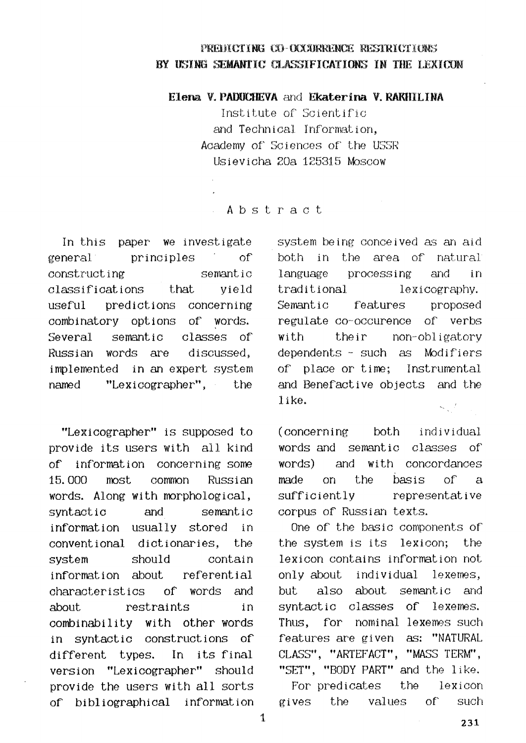## PREDICTING CO-OCCURRENCE RESTRICTIONS BY IKING SEMANTIC CLASSIFICATIONS IN THE LEXICON

**Elena V. PADUCHEVA and Ekaterina V. RAKHILINA** 

Institute of Scientific and Technical Information, Academy of Sciences of' the USSR [~ievicha 20a 125315 Moscow

## Abstract

In this paper we investigate general principles of constructing semantic classifications that yield  $\;$ useful predictions concerning combinatory options of words. Several semantic Russian words are classes of discussed, implemented in an expert system named "Lexicographer", the

"Lexicographer" is supposed to provide its users with all kind of information concerning some 15.000 most common Russian words. Along with morphological, syntactic information usually stored in conventional dictionaries, the system information about and semantic should contain referential characteristics of words and about restraints in combinability with other words in syntactic constructions of different types. In its final version "Lexicographer" should provide the users with all sorts of bibliographical information system being conceived as an aid both in the area of natural language processing and in traditional lexicography. Semantic features proposed regulate co-occurence of verbs with their non-obligatory dependents - such as Modifiers of place or time; Instrumental and Benefactive objects and the like.  $\mathbf{x}_i \in \mathcal{I}$ 

( concerning both individual words and semantic classes of words) and with concordances made on the basis of a sufficiently representative corpus of Russian texts.

One of the basic components of the system is its lexicon; the lexicon contains information not only about individual lexemes, but also about semantic and syntactic classes of lexemes. Thus, for nominal lexemes such features are given as: "NATURAL CLASS", "ARTEFACT", "MASS TERM", "SET", "BODY PART" and the like.

For predicates the lexicon gives the values of such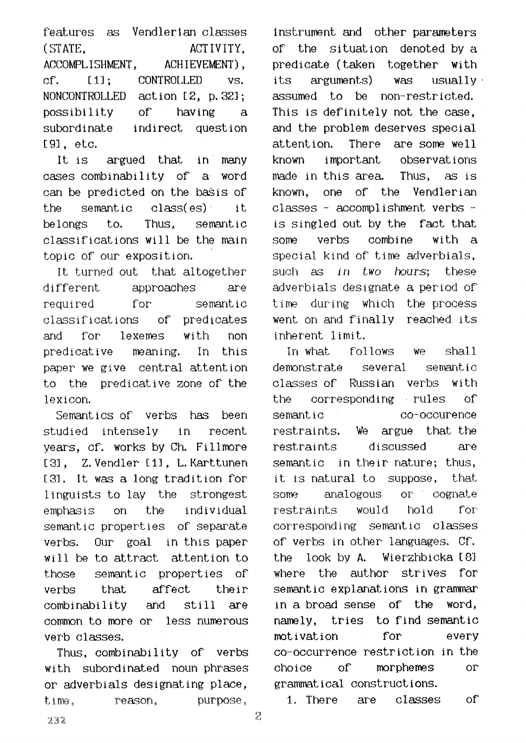features as Vendlerian classes (STATE,  $ACT IVITY$ ) ACCOMPLISHMENT, ACHIEVEMENT), of. [I]; **NONCONTROLLED**  possibility subordinate [g], etc. **CONTROLLED vs.**  action [2, p. 32]; of having a indirect question

It is argued that in many cases combinability of a. word can be predicted on the basis of the semantic class(es) it belongs to. Thus, semantic classifications will be the main topic of our exposition.

It turned out that altogether different approaches are required for semantic classifications of predicates and For lexemes with non predicative neaning. In this paper we give central attention to the predicative zone of the lexicon.

Semantics of verbs has been studied intensely in recent vears, of. works by Ch. Fillmore [3], Z. Vendler [i], L. Karttunen [3]. it was a long tradition for linguists to lay the strongest emphasis on the semantic properties of separate verbs. Our goal in this-paper will be to attract attention to individual those semantic properties of verbs that affect their combinability and still are common to more or less numerous verb classes.

Thus, combinability of verbs with subordinated noun phrases or adverbials designating place, time, reason, purpose,

instrument and other parameters of the situation denoted by a predicate (taken together with its arguments) was usually. assumed to be non-restricted. This is definitely not the case, and the problem deserves special attention. There are some well known important observations made in this area. Thus, as is known, one of the Vendlerian classes - accomplishment verbs is singled out by the fact that some verbs combine with a special kind of time adverbials, such *as in two hours;* these adverbials designate a period of time during which the process went on and finally reached its inherent limit.

In what follows we shall demonstrate several semantic cl&sses of Russian verbs with the corresponding rules of semantic co-occurence restraints. We argue that the restraints discussed are semantic in their nature; thus, it is natural to suppose, that some analogous or cognate restraints would hold for corresponding semantic classes of verbs in other" languages. CF. the look by A. Wierzhbioka [8] where the author strives for semantic explanations in grammar in a broad sense of the word, namely, tries to find semantic motivation for every co-occurrence restriction in the cho ice of morphemes or grammat i cal construct ions.

1. There are classes of

232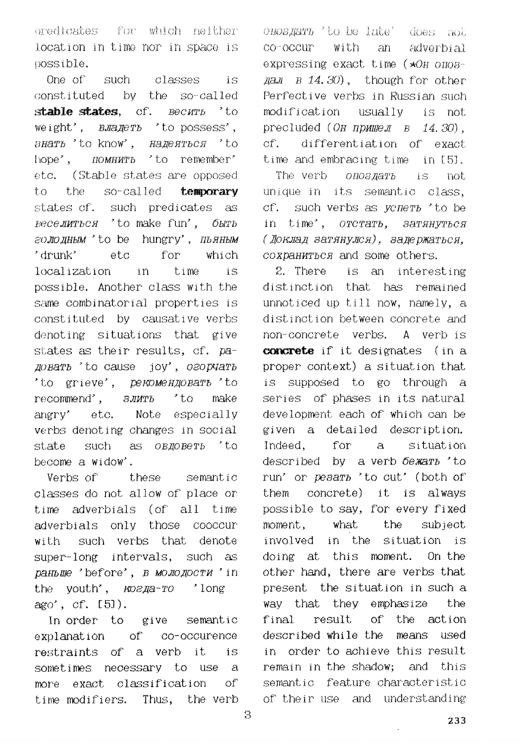oredicates for which neither location in time nor in space is possible.

One of such classes  $iS$ constituted by the so-called stable states, cf. Becurb 'to weight',  $B \text{Ja} \text{Je} \text{r}$  is to possess', BHATb 'to know'. HANEATbCA 'to  $h$ ope $\cdot$ . *HOMHUTb* 'to remember' (Stable states are opposed  $etc.$ to the so-called temporary states of. such predicates as *веселиться* 'to make fun', быть голодным 'to be hungry', пьяным 'drunk' etc for which localization in time  $i \in$ possible. Another class with the same combinatorial properties is constituted by causative verbs denoting situations that give states as their results, of. pa-*IOBATb* 'to cause joy', *O2OPVATb* 'to grieve', *рекомендовать* 'to recommend',  $3JMTb$ 'to make anerv' etc. Note especially verbs denoting changes in social such as *OBMOBeTb* 'to state become a widow'.

Verbs of these semantic classes do not allow of place or time adverbials (of all time adverbials only those cooccur such verbs that denote with super-long intervals, such as раньше 'before', в молодости 'in the youth', *KO2Ja-TO* 'long ago', cf. [5]).

In order to give semantic explanation of co-occurence restraints of a verb it is sometimes necessary to use  $\mathbf{a}$ more exact classification  $\alpha$ <sup> $\Gamma$ </sup> Thus. the verb time modifiers.

*OHOBJATh* 'to be late' does not co-occur with  $\partial \mathbf{u}$ adverbial expressing exact time (\*OH onos- $\text{max}$  B 14.30), though for other Perfective verbs in Russian such modification usually is not precluded (OH  $npMMPJ - B - 14.30$ ).  $cf.$ differentiation of exact time and embracing time in [5].

The verb опоздать  $iS$ not unique in its semantic class.  $CF.$ such verbs as yenerb 'to be in time', orcrarb, sarahyrbca (Доклад затянулся), задержаться. сохраниться and some others.

2. There is an interesting distinction that has remained unnoticed up till now, namely, a distinction between concrete and non-concrete verbs. A verb is **concrete** if it designates (in a proper context) a situation that is supposed to go through a series of phases in its natural development each of which can be given a detailed description. Indeed. for  $a$ situation described by a verb be warb 'to run' or pesarb 'to cut' (both of them concrete) it is always possible to sav. for every fixed moment. what the subject involved in the situation is doing at this moment. On the other hand, there are verbs that present the situation in such a way that they emphasize the final result of the action described while the means used in order to achieve this result remain in the shadow; and this semantic feature characteristic of their use and understanding

3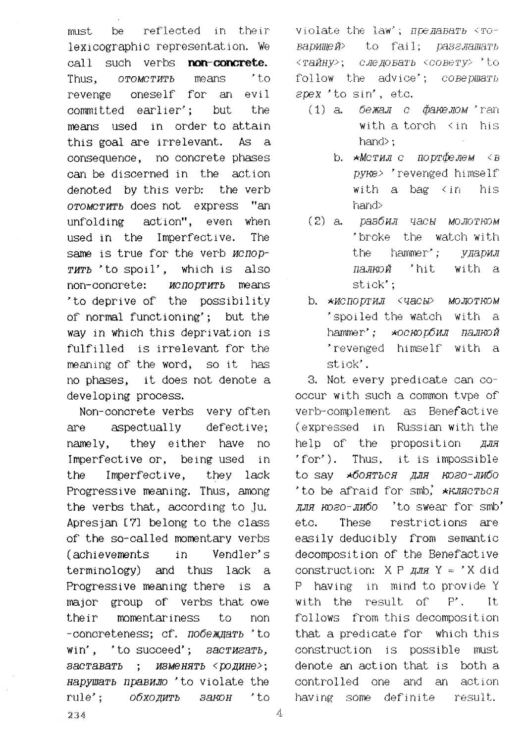must be reflected in the ir lexicographic representation. We call such verbs **non-concrete.** Thus, *OTOMOTMTb means " to*   $revenue$  oneself for an evil committed earlier'; but the means used in order to attain this goal are irrelevant. As a consequence, no concrete phases can be discerned in the action denoted by this verb: the verb *OTOMCTWTb* does not express "an unfolding action", even when used in the Imperfective. The same is true for the verb *ncnop-* $\eta$   $\eta$ <sup> $\eta$ </sup>  $\eta$ <sup> $\eta$ </sup> $\eta$ <sup> $\eta$ </sup> $\eta$ <sup> $\eta$ </sup> $\eta$ <sup> $\eta$ </sup> $\eta$ <sup> $\eta$ </sup> $\eta$ <sup> $\eta$ </sup> $\eta$ <sup> $\eta$ </sup> $\eta$ <sup> $\eta$ </sup> $\eta$ <sup> $\eta$ </sup> $\eta$ <sup> $\eta$ </sup> $\eta$ <sup> $\eta$ </sup> $\eta$ <sup> $\eta$ </sup> $\eta$ <sup> $\eta$ </sup> $\eta$ <sup> $\eta$ </sup> $\eta$ <sup> $\eta$ </sup> $\eta$ <sup> $\eta$ </sup> $\eta$ <sup> $\eta$ </sup> $\eta$ <sup> $\eta$ </sup> $\eta$ <sup> $\eta$ </sup> $\eta$ <sup> $\eta$ </sup> $\eta$ <sup></sup>  $non-concrete: *YCDOPYATD*$  means "to deprive of the possibility of normal functioning'; but the way in which this deprivation is fulfilled is irrelevant for the meaning of the word, so it has no phases, it does not denote a developing process.

Non-concrete verbs very often are aspectually defective; namely, they either have no Imperfective or, being used in the Imperfect ive, they lack Progressive meaning. Thus, among the verbs that, according to Ju. Apresjan [7] belong to the class of the so-called momentary verbs (achievements in Vendler' s terminology) and thus lack a Progressive meaning there is a major group of verbs that owe the ir momentariness to non -concreteness: cf. *no6e muarb* 'to  $win'$ , 'to succeed'; *aacTM2aTb*, *<i>BACTABATb* ; ИЗМенять < родине>; *sapywaTh rlpaBZgIO* "to violate the rule'; *OOXOAMTb 3aKOH* 'to

violate the law'; *npe gabarb* <  $r$ o-BaDMMen> to fail; paseMamarb *<Tc~I,~Hy> ; C,rie/qOSaTb <OOB6~TX> " [.O*  follow the advice'; *COBepWaTh*  $e$ pex 'to sin', etc.

- $(1)$  a. *бежал* с  $\phi$ акелом 'ran with a torch  $\langle$  in his hand>:
	- **b. \*Мстил с портфелем <B** *pyke>* 'revenged himself' with a bag  $\langle$  in his  $\frac{1}{2}$
- *( 2] a. F;~oOt4JI qaObI MOJIOTP~DM*  'broke the watch with the hammer'; *ударил палкой* 'hit with a stick';
- **b.**  $×MCIODT'MJ << QACbL > MOJOTROM$ 'spoiled the watch with a hammer': \* \* 0CHOD 0MJ ПАЛКОЙ 'revenged himself with a stick'.

3. Not every predicate can cooccur with such a common type of verb-complement as Benefactive (expressed in Russian with the help of the proposition  $q_{\text{J}H\text{F}}$ "for'). Thus, it is impossible to say  $*6$ *OHTbCH HJH KO2O-JW6O* 'to be afraid for  $smb$ ,  $*$ K*AACTbCA*  $\mu$ *J.H KO2O-JMOO* 'to swear for smb' etc. These restrictions are easily deducibly from semantic decomposition of the Benefactive construction:  $X P A J J J J J = 'X did$ P having" in mind to provide Y with the result of P'. It follows *from* this decomposition that a predicate for which this construction is possible must denote an action that is both a controlled one and an action having some definite result.

 $234$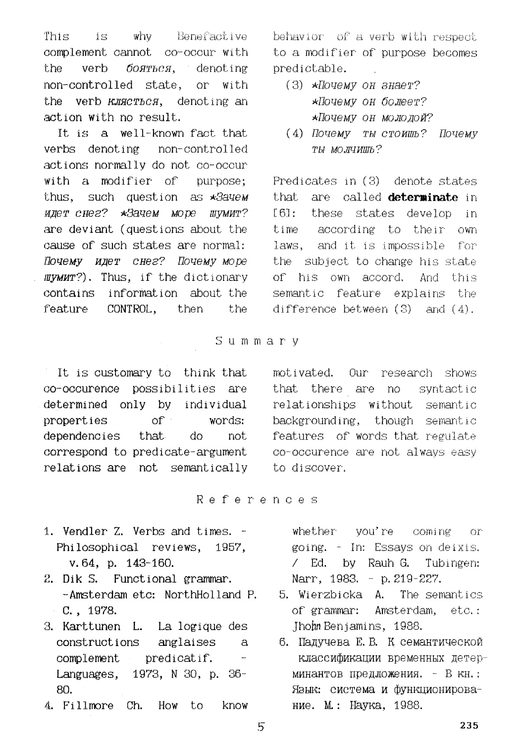why Benefactive This is complement cannot co-occur with verb бояться, denoting the non-controlled state, or with the verb  $KMRCTbCA$ , denoting an action with no result.

It is a well-known fact that verbs denoting non-controlled actions normally do not co-occur with a modifier of purpose: thus, such question as \*3ayem идет снег? \*Зачем море шумит? are deviant (questions about the cause of such states are normal: Почему идет снег? Почему море WyMMT?). Thus, if the dictionary information about the contains feature CONTROL. then the

It is customary to think that co-occurence possibilities are determined only by individual properties  $of$ words:  $d\circ$ dependencies that not. correspond to predicate-argument relations are not semantically behavior of a verb with respect to a modifier of purpose becomes predictable.

- $(3)$  \**Iloyemy on shaer?* \*Почему он болеет? \*Почему он молодой?
- (4) Почему ты стоишь? Почему ты молчишь?

Predicates in (3) denote states are called determinate in t.hat.  $F61:$ these states develop in time according to their own laws, and it is impossible for the subject to change his state of his own accord. And this semantic feature explains the difference between  $(3)$  and  $(4)$ .

Summary

motivated. Our research shows that there are no syntactic relationships without semantic backgrounding, though semantic features of words that regulate co-occurence are not always easy to discover.

References

- 1. Vendler Z. Verbs and times. -Philosophical reviews. 1957. v. 64, p. 143-160.
- 2. Dik S. Functional grammar. -Amsterdam etc: NorthHolland P.  $C.$ , 1978.
- 3. Karttunen L. La logique des constructions anglaises  $\mathbf{A}$ complement predicatif.  $\overline{\phantom{a}}$ Languages, 1973, N 30, p. 36-80.
- 4. Fillmore Ch. How to know

whether you're coming Or<sup>-</sup> going. - In: Essavs on deixis.  $\sqrt{2}$ Ed. by Rauh G. Tubingen: Narr, 1983. - p. 219-227.

- 5. Wierzbicka A. The semantics of grammar: Amsterdam.  $etc.$ : Jhohn Benjamins, 1988.
- 6. Падучева Е.В. К семантической классификации временных детерминантов предложения. - В кн.: Язык: система и функционирование. М.: Наука, 1988.

 $5\overline{)}$